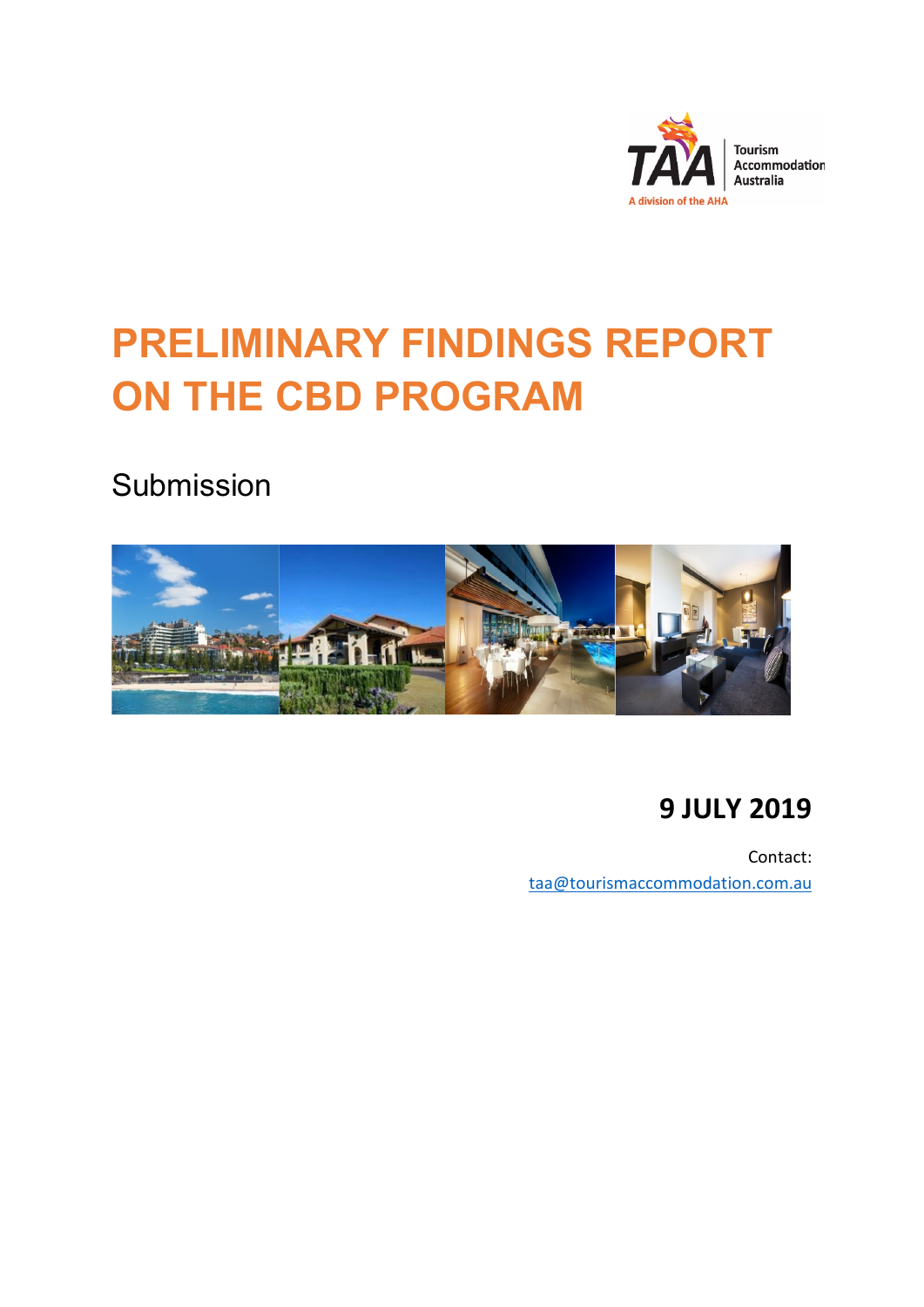

# **PRELIMINARY FINDINGS REPORT ON THE CBD PROGRAM**

Submission



# **9 JULY 2019**

Contact: [taa@tourismaccommodation.com.au](mailto:taa@tourismaccommodation.com.au)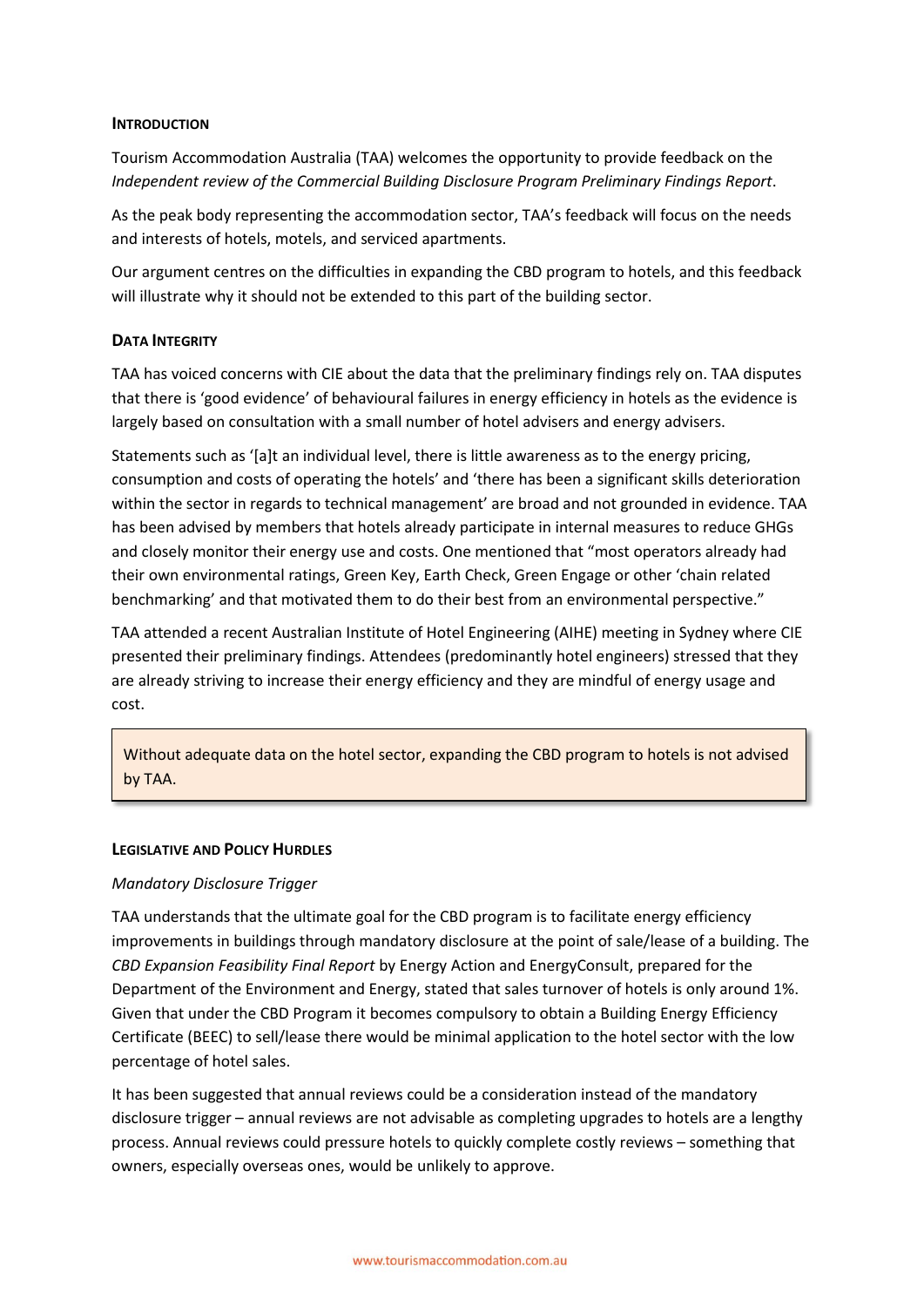# **INTRODUCTION**

Tourism Accommodation Australia (TAA) welcomes the opportunity to provide feedback on the *Independent review of the Commercial Building Disclosure Program Preliminary Findings Report*.

As the peak body representing the accommodation sector, TAA's feedback will focus on the needs and interests of hotels, motels, and serviced apartments.

Our argument centres on the difficulties in expanding the CBD program to hotels, and this feedback will illustrate why it should not be extended to this part of the building sector.

# **DATA INTEGRITY**

TAA has voiced concerns with CIE about the data that the preliminary findings rely on. TAA disputes that there is 'good evidence' of behavioural failures in energy efficiency in hotels as the evidence is largely based on consultation with a small number of hotel advisers and energy advisers.

Statements such as '[a]t an individual level, there is little awareness as to the energy pricing, consumption and costs of operating the hotels' and 'there has been a significant skills deterioration within the sector in regards to technical management' are broad and not grounded in evidence. TAA has been advised by members that hotels already participate in internal measures to reduce GHGs and closely monitor their energy use and costs. One mentioned that "most operators already had their own environmental ratings, Green Key, Earth Check, Green Engage or other 'chain related benchmarking' and that motivated them to do their best from an environmental perspective."

TAA attended a recent Australian Institute of Hotel Engineering (AIHE) meeting in Sydney where CIE presented their preliminary findings. Attendees (predominantly hotel engineers) stressed that they are already striving to increase their energy efficiency and they are mindful of energy usage and cost.

Without adequate data on the hotel sector, expanding the CBD program to hotels is not advised by TAA.

# **LEGISLATIVE AND POLICY HURDLES**

# *Mandatory Disclosure Trigger*

TAA understands that the ultimate goal for the CBD program is to facilitate energy efficiency improvements in buildings through mandatory disclosure at the point of sale/lease of a building. The *CBD Expansion Feasibility Final Report* by Energy Action and EnergyConsult, prepared for the Department of the Environment and Energy, stated that sales turnover of hotels is only around 1%. Given that under the CBD Program it becomes compulsory to obtain a Building Energy Efficiency Certificate (BEEC) to sell/lease there would be minimal application to the hotel sector with the low percentage of hotel sales.

It has been suggested that annual reviews could be a consideration instead of the mandatory disclosure trigger – annual reviews are not advisable as completing upgrades to hotels are a lengthy process. Annual reviews could pressure hotels to quickly complete costly reviews – something that owners, especially overseas ones, would be unlikely to approve.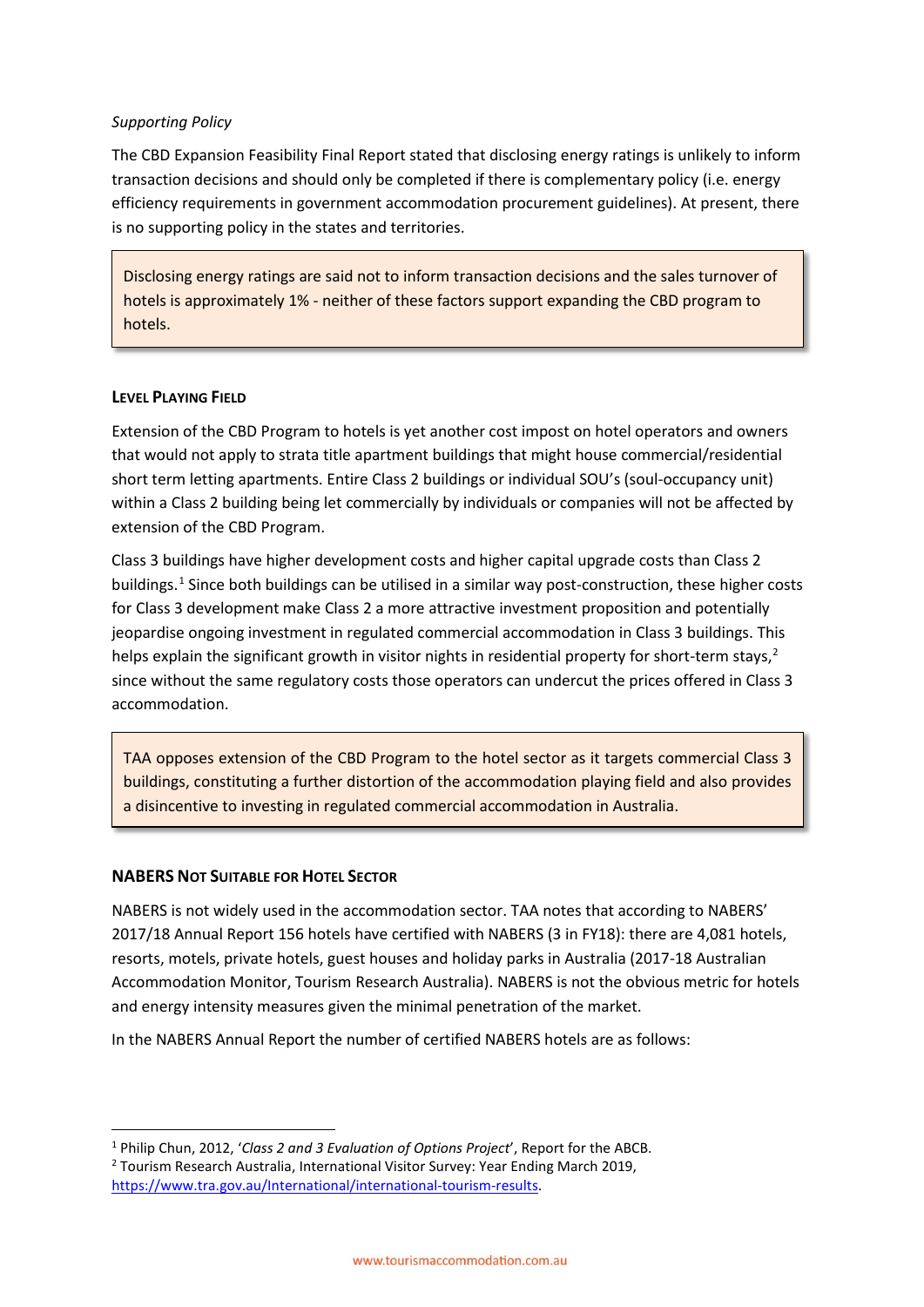# *Supporting Policy*

The CBD Expansion Feasibility Final Report stated that disclosing energy ratings is unlikely to inform transaction decisions and should only be completed if there is complementary policy (i.e. energy efficiency requirements in government accommodation procurement guidelines). At present, there is no supporting policy in the states and territories.

Disclosing energy ratings are said not to inform transaction decisions and the sales turnover of hotels is approximately 1% - neither of these factors support expanding the CBD program to hotels.

# **LEVEL PLAYING FIELD**

Extension of the CBD Program to hotels is yet another cost impost on hotel operators and owners that would not apply to strata title apartment buildings that might house commercial/residential short term letting apartments. Entire Class 2 buildings or individual SOU's (soul-occupancy unit) within a Class 2 building being let commercially by individuals or companies will not be affected by extension of the CBD Program.

Class 3 buildings have higher development costs and higher capital upgrade costs than Class 2 buildings.<sup>[1](#page-2-0)</sup> Since both buildings can be utilised in a similar way post-construction, these higher costs for Class 3 development make Class 2 a more attractive investment proposition and potentially jeopardise ongoing investment in regulated commercial accommodation in Class 3 buildings. This helps explain the significant growth in visitor nights in residential property for short-term stays, $2$ since without the same regulatory costs those operators can undercut the prices offered in Class 3 accommodation.

TAA opposes extension of the CBD Program to the hotel sector as it targets commercial Class 3 buildings, constituting a further distortion of the accommodation playing field and also provides a disincentive to investing in regulated commercial accommodation in Australia.

# **NABERS NOT SUITABLE FOR HOTEL SECTOR**

NABERS is not widely used in the accommodation sector. TAA notes that according to NABERS' 2017/18 Annual Report 156 hotels have certified with NABERS (3 in FY18): there are 4,081 hotels, resorts, motels, private hotels, guest houses and holiday parks in Australia (2017-18 Australian Accommodation Monitor, Tourism Research Australia). NABERS is not the obvious metric for hotels and energy intensity measures given the minimal penetration of the market.

In the NABERS Annual Report the number of certified NABERS hotels are as follows:

<span id="page-2-1"></span><span id="page-2-0"></span> <sup>1</sup> Philip Chun, 2012, '*Class 2 and 3 Evaluation of Options Project*', Report for the ABCB. <sup>2</sup> Tourism Research Australia, International Visitor Survey: Year Ending March 2019, [https://www.tra.gov.au/International/international-tourism-results.](https://www.tra.gov.au/International/international-tourism-results)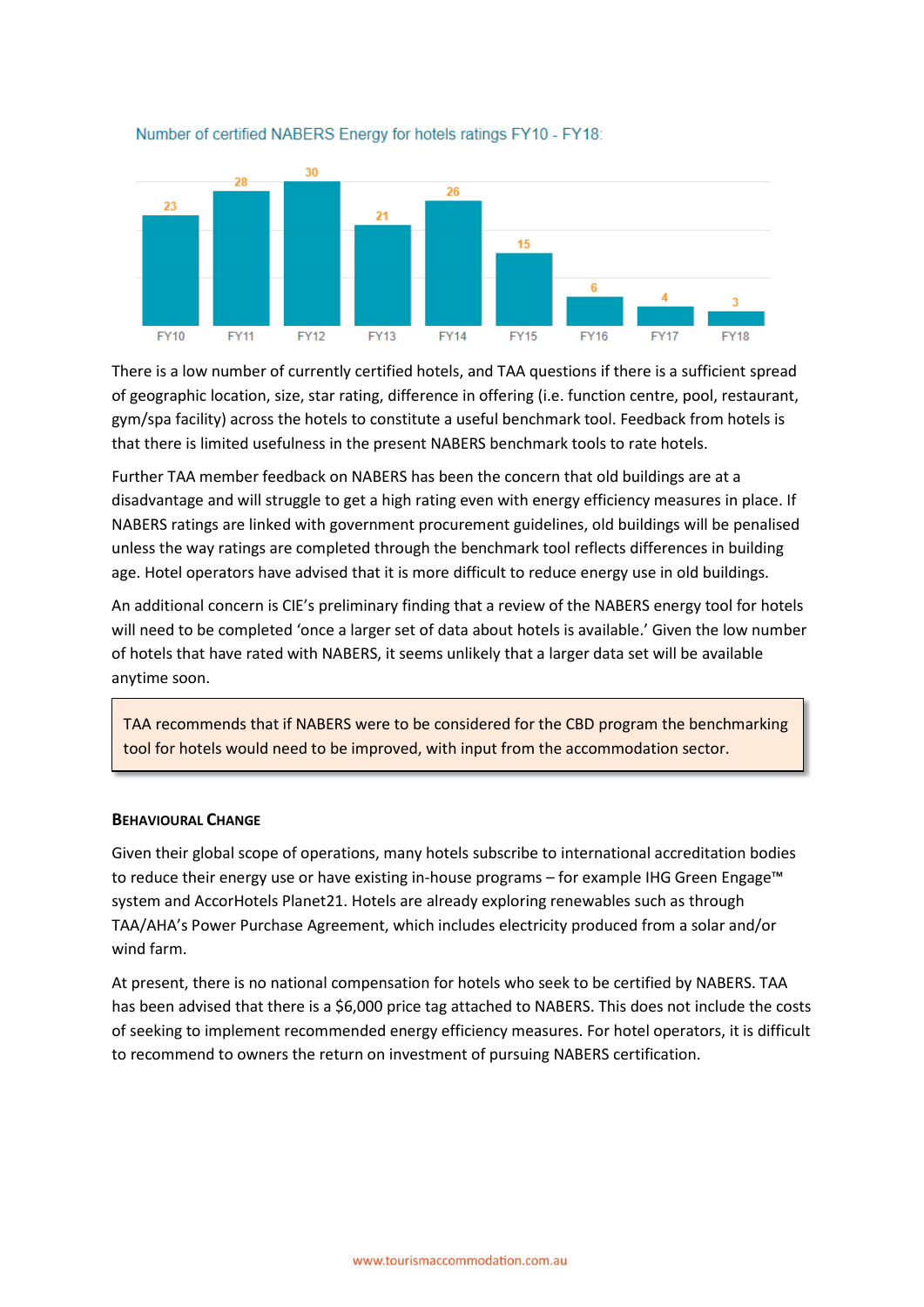

# Number of certified NABERS Energy for hotels ratings FY10 - FY18:

There is a low number of currently certified hotels, and TAA questions if there is a sufficient spread of geographic location, size, star rating, difference in offering (i.e. function centre, pool, restaurant, gym/spa facility) across the hotels to constitute a useful benchmark tool. Feedback from hotels is that there is limited usefulness in the present NABERS benchmark tools to rate hotels.

Further TAA member feedback on NABERS has been the concern that old buildings are at a disadvantage and will struggle to get a high rating even with energy efficiency measures in place. If NABERS ratings are linked with government procurement guidelines, old buildings will be penalised unless the way ratings are completed through the benchmark tool reflects differences in building age. Hotel operators have advised that it is more difficult to reduce energy use in old buildings.

An additional concern is CIE's preliminary finding that a review of the NABERS energy tool for hotels will need to be completed 'once a larger set of data about hotels is available.' Given the low number of hotels that have rated with NABERS, it seems unlikely that a larger data set will be available anytime soon.

TAA recommends that if NABERS were to be considered for the CBD program the benchmarking tool for hotels would need to be improved, with input from the accommodation sector.

# **BEHAVIOURAL CHANGE**

Given their global scope of operations, many hotels subscribe to international accreditation bodies to reduce their energy use or have existing in-house programs – for example IHG Green Engage™ system and AccorHotels Planet21. Hotels are already exploring renewables such as through TAA/AHA's Power Purchase Agreement, which includes electricity produced from a solar and/or wind farm.

At present, there is no national compensation for hotels who seek to be certified by NABERS. TAA has been advised that there is a \$6,000 price tag attached to NABERS. This does not include the costs of seeking to implement recommended energy efficiency measures. For hotel operators, it is difficult to recommend to owners the return on investment of pursuing NABERS certification.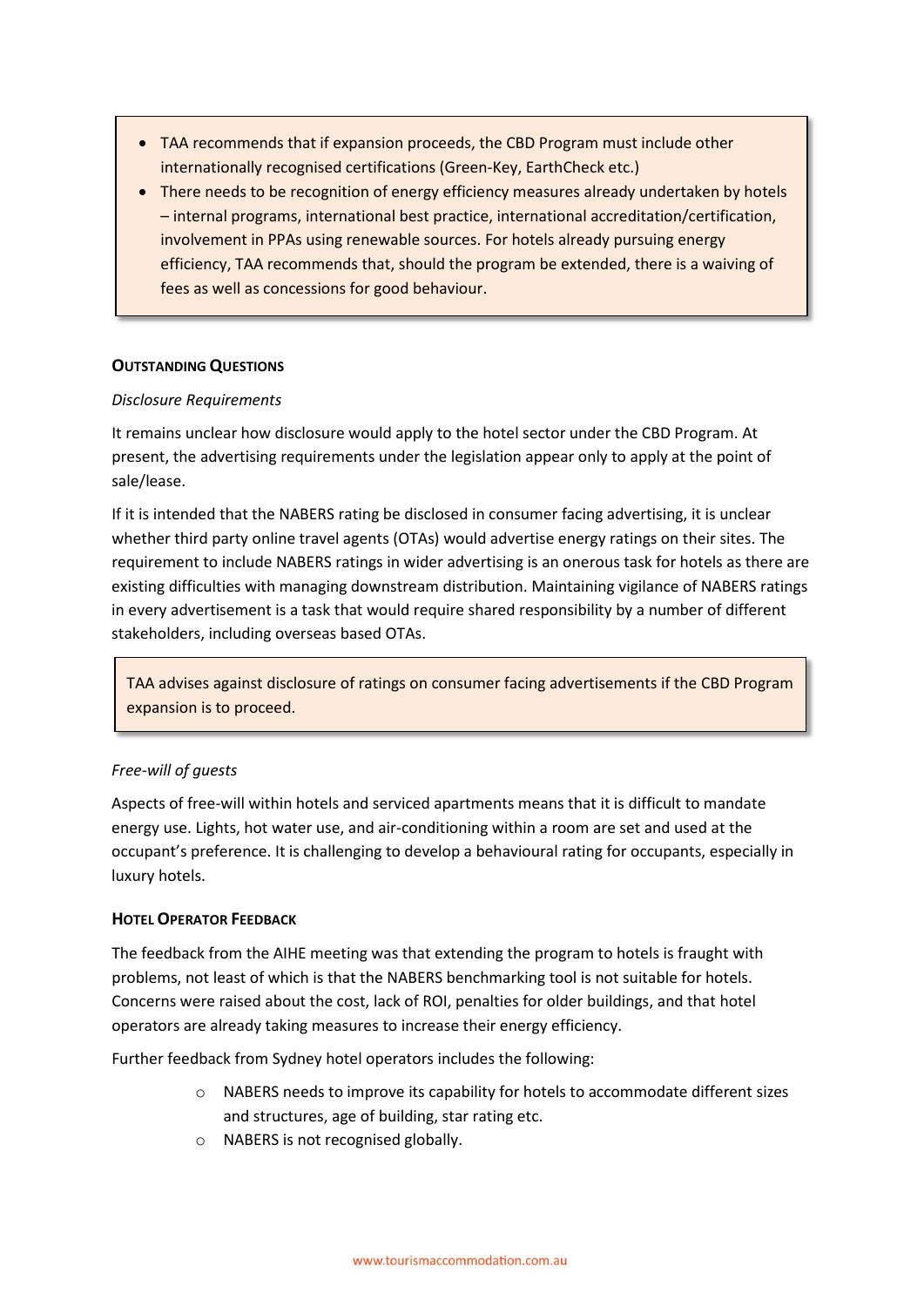- TAA recommends that if expansion proceeds, the CBD Program must include other internationally recognised certifications (Green-Key, EarthCheck etc.)
- There needs to be recognition of energy efficiency measures already undertaken by hotels – internal programs, international best practice, international accreditation/certification, involvement in PPAs using renewable sources. For hotels already pursuing energy efficiency, TAA recommends that, should the program be extended, there is a waiving of fees as well as concessions for good behaviour.

# **OUTSTANDING QUESTIONS**

# *Disclosure Requirements*

It remains unclear how disclosure would apply to the hotel sector under the CBD Program. At present, the advertising requirements under the legislation appear only to apply at the point of sale/lease.

If it is intended that the NABERS rating be disclosed in consumer facing advertising, it is unclear whether third party online travel agents (OTAs) would advertise energy ratings on their sites. The requirement to include NABERS ratings in wider advertising is an onerous task for hotels as there are existing difficulties with managing downstream distribution. Maintaining vigilance of NABERS ratings in every advertisement is a task that would require shared responsibility by a number of different stakeholders, including overseas based OTAs.

TAA advises against disclosure of ratings on consumer facing advertisements if the CBD Program expansion is to proceed.

# *Free-will of guests*

Aspects of free-will within hotels and serviced apartments means that it is difficult to mandate energy use. Lights, hot water use, and air-conditioning within a room are set and used at the occupant's preference. It is challenging to develop a behavioural rating for occupants, especially in luxury hotels.

# **HOTEL OPERATOR FEEDBACK**

The feedback from the AIHE meeting was that extending the program to hotels is fraught with problems, not least of which is that the NABERS benchmarking tool is not suitable for hotels. Concerns were raised about the cost, lack of ROI, penalties for older buildings, and that hotel operators are already taking measures to increase their energy efficiency.

Further feedback from Sydney hotel operators includes the following:

- o NABERS needs to improve its capability for hotels to accommodate different sizes and structures, age of building, star rating etc.
- o NABERS is not recognised globally.